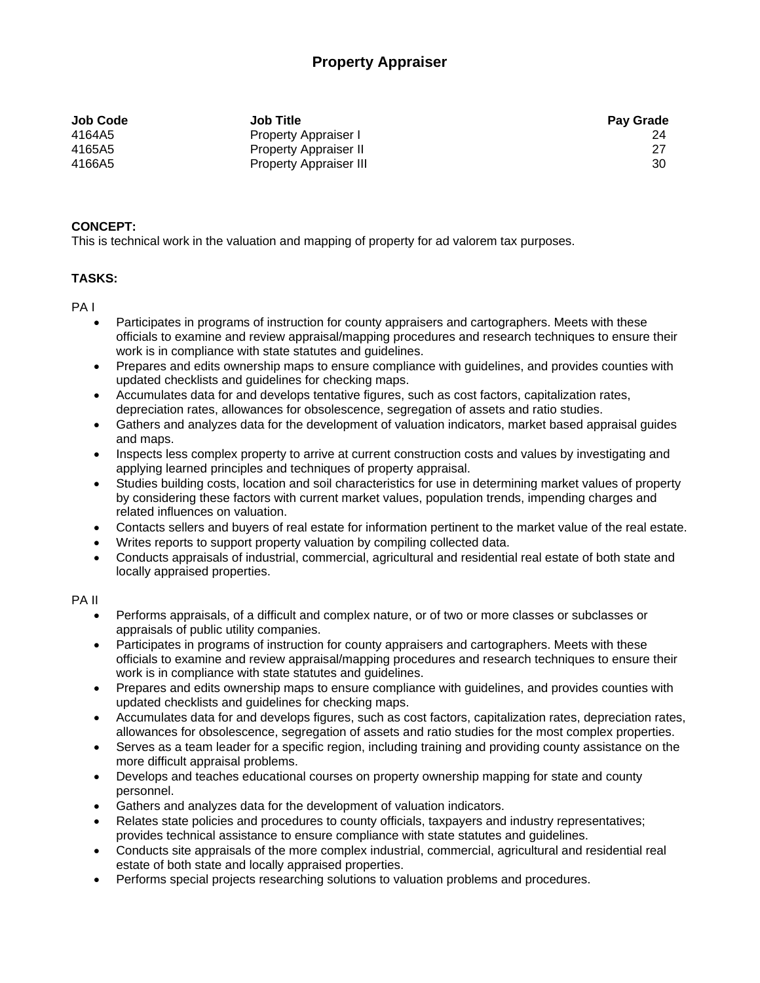# **Property Appraiser**

| <b>Job Title</b>              | <b>Pay Grade</b> |
|-------------------------------|------------------|
| Property Appraiser I          | 24               |
| <b>Property Appraiser II</b>  |                  |
| <b>Property Appraiser III</b> | 30               |
|                               |                  |

## **CONCEPT:**

This is technical work in the valuation and mapping of property for ad valorem tax purposes.

## **TASKS:**

PA I

- Participates in programs of instruction for county appraisers and cartographers. Meets with these officials to examine and review appraisal/mapping procedures and research techniques to ensure their work is in compliance with state statutes and guidelines.
- Prepares and edits ownership maps to ensure compliance with guidelines, and provides counties with updated checklists and guidelines for checking maps.
- Accumulates data for and develops tentative figures, such as cost factors, capitalization rates, depreciation rates, allowances for obsolescence, segregation of assets and ratio studies.
- Gathers and analyzes data for the development of valuation indicators, market based appraisal guides and maps.
- Inspects less complex property to arrive at current construction costs and values by investigating and applying learned principles and techniques of property appraisal.
- Studies building costs, location and soil characteristics for use in determining market values of property by considering these factors with current market values, population trends, impending charges and related influences on valuation.
- Contacts sellers and buyers of real estate for information pertinent to the market value of the real estate.
- Writes reports to support property valuation by compiling collected data.
- Conducts appraisals of industrial, commercial, agricultural and residential real estate of both state and locally appraised properties.

# PA II

- Performs appraisals, of a difficult and complex nature, or of two or more classes or subclasses or appraisals of public utility companies.
- Participates in programs of instruction for county appraisers and cartographers. Meets with these officials to examine and review appraisal/mapping procedures and research techniques to ensure their work is in compliance with state statutes and guidelines.
- Prepares and edits ownership maps to ensure compliance with guidelines, and provides counties with updated checklists and guidelines for checking maps.
- Accumulates data for and develops figures, such as cost factors, capitalization rates, depreciation rates, allowances for obsolescence, segregation of assets and ratio studies for the most complex properties.
- Serves as a team leader for a specific region, including training and providing county assistance on the more difficult appraisal problems.
- Develops and teaches educational courses on property ownership mapping for state and county personnel.
- Gathers and analyzes data for the development of valuation indicators.
- Relates state policies and procedures to county officials, taxpayers and industry representatives; provides technical assistance to ensure compliance with state statutes and guidelines.
- Conducts site appraisals of the more complex industrial, commercial, agricultural and residential real estate of both state and locally appraised properties.
- Performs special projects researching solutions to valuation problems and procedures.